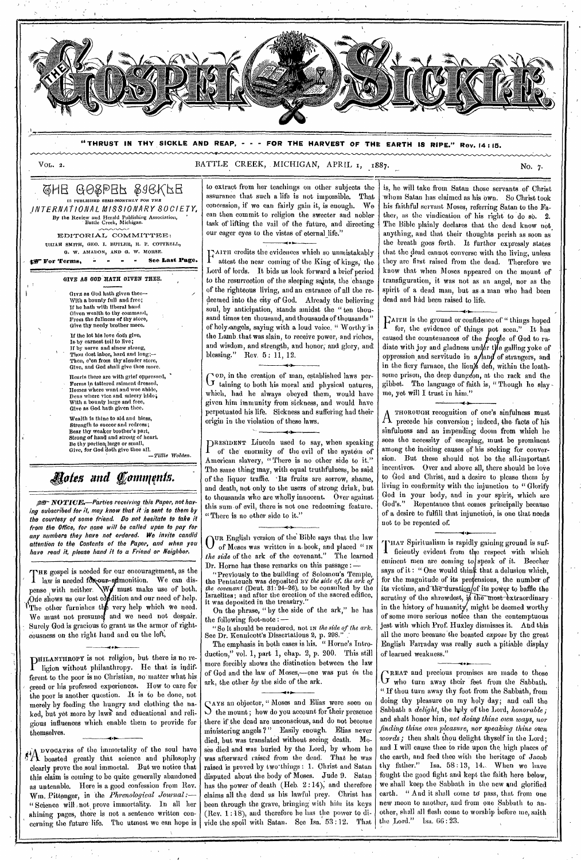

**"THRUST IN THY SICKLE AND REAP, - - - FOR THE HARVEST OF THE EARTH IS RIPE." Rev. 14 : 15.** 

VOL. 2. BATTLE CREEK, MICHIGAN, APRIL 1, 1887.

### <u>GHE GOSPER SJEKFE</u> IS PUBLISHED *SEMI-MONTHLY FOR TRH*  \_INTERNATIONAL MISSIONARY SOCIETY, By the Review and Herald Publishing Association, Battle Creek, Michigan.

EDITORIAL COMMITTEE: URIAH SMITH, GEO. I. BUTLER, R. F. COTTRELL, 0. W. AMADON, AND G. w. MORSE.

fir Terms, in a see Last Page.

**GIVE AS GOD RATH** GIVEN THEE.

Give as God hath given thee-With a bounty full and free; If he bath with liberal hand Given wealth to thy command, Front the fullness *of* thy store, Give thy needy brother more.

If the lot his love doth give, Is by earnest toil to live; If by nerve and sinew strong, Thou dost labor, hard and long;—<br>Then, e'en from thy slender store, Give, and God shall give thee more

Henris there are with grief oppressed, Forms in tattered raiment dressed,<br>Homes where want and woe abide,<br>Dens where vice and misery hide;<br>With a bounty large and free,<br>Give as God hath given thee.

Wealth is thine to aid and bless Strength to succor and redress; Bear thy weaker brother's part, Strong of hand and strong of heart. Be thy portion large or small,<br>Give, for God doth give thee all. .<br>Tillie Wolden.

*gales and Comnifnis.* 

**NOTWE.—Parties** receiving this Paper, not having subscribed for it, may know that it is sent to them by the courtesy of some friend. Do not hesitate to take it from the Office, for none will be called upon to pay for any numbers they have not ordered. We invite candid attention to the Contents of the Paper, and when you have read it, please hand it to a Friend or Neighbor.

THE gospel is needed for our encouragement, as the law is needed for our-admonition. We can dispense with neither. We must make use of both. One shows us our lost condition and our need of help. The other furnishes the very help which we need. We must not presume and we need not despair. Surely God is gracious to grant us the armor of righteousness on the right hand and on the left,

HILANTHROPY is not religion, but there is no religion without philanthropy. He that is indifferent to the poor is no Christian, no matter what his creed or his professed experiences. How to care for the poor is another question. It is to be done, not merely by feeding the hungry and clothing the naked, but yet more by laws and educational and religious influences which enable them to provide for themselves.

**401.** 

vo0Am3 of the immortality of the soul have  $\eta_{\mathcal{X}}$ o **1** boasted greatly that science and philosophy clearly prove the soul immortal. But we notice that this claim is coming to be quite generally abandoned as untenable. Here is a good confession from Rev. Wm. Pittenger, in the *Phrenological Journal:— "* Science will , not prove immortality. In all her shining pages, there is not a sentence written concerning the future life. The utmost we can hope is to extract from her teachings on other subjects the assurance that such a life is not impossible. That<br>concession, if we can fairly gain it, is enough. We concession, if we can fairly gain it, is enough. can then commit to religion the sweeter and nobler task of lifting the vail of the future, and directing our eager eyes to the vistas of eternal life."

TAITH credits the evidences which so unmistakably attest the near coming of the King of kings, the Lord of lords. It bids us look forward a brief period. to the resurrection of the sleeping saints, the 'change of the righteous living, and an entrance of all the redeemed into the city of God. Already the believing soul, by anticipation, stands amidst the "ten thousand times ten thousand, and thousands of thousands " of holy /angels, saying with a loud voice, " Worthy 'is the Lamb that was slain, to receive power, and riches, and wisdom, and strength, and honor; and glory, and, blessing." Rev. 5: 11, 12.

von, in the creation of man, established laws per- $G$ <sup>o.p.</sup>, in the creation of man, constraining to both his moral and physical natures, which, had he always obeyed them, would have given him immunity from sickness, and would have perpetuated his life. Sickness and suffering had their origin in the violation of these laws.

]RESIDENT Lincoln used to say, when speaking I of the enormity of the evil of the system of American slavery, "There is no other side to it." The same thing may, with equal truthfulness, be said of the liquor traffic. 'Its fruits are sorrow, shame, and death, not only to the users of strong drink, but to thousands who are wholly innocent. Over against this sum-of evil, there is not one redeeming feature. " There is no other side to it."

O<sup>UR</sup> English version of the Bible says that the law<br>O of Moses was written in a book, and placed "IN of Moses was written in a, book, and placed " IN *the side* of the ark of the covenant." The learned Dr. Horne has these remarks on this passage :

**lo** 

"Previously to the building of Solomon's Temple, the Pentateuch was deposited BY *the side of, the ark of the, covenant* (Dent. 81:24-26), to be consulted by the Israelites; and after the erection of the sacred edifice, was deposited in the treasury.

On the phrase, "by the side of the ark," he has the following foot-note : —

"So it should be rendered, not Ix *the side of the ark.*  See Dr. Kennicott's Dissertations 2, p. 298.

The emphasis in both cases is his. " Horne's Introduction," vol. 1, part 1, chap. 2, p. 200. This still more forcibly shows the distinction between the law of God and the law of Moses,—one was put *in* the ark, the other *by* the side of the ark.

• iJAYS an objector, " Moses and Elias were seen on the mount ; how do you account for their presence there if the dead are unconscious, and do not become ministering angels ?" Easily enough. Elias never died, but was translated without seeing death. Moses died and was buried by the Lord, by whom he was afterward raised from the dead. That he was was afterward raised from the dead. raised is proved by two'things : 1. Christ and Satan disputed about the body of Moses. Jude 9. Satan has the power of death (Heb. 2 :14); and therefore claims all the dead as his lawful prey. Christ has been through the grave, bringing with him its keys (Rev. 1:18), and therefore he has the power to divide the spoil with Satan. See Isa.  $53:12$ . That

is, he will take from Satan those servants of Christ whom Satan has claimed as his own. So Christ took his faithful servant Moses, referring Satan to the Father, as the vindication of his right to do so. 2. The Bible plainly declares that the dead know not anything, and that their thoughts perish as soon as the breath goes forth. It further expressly states that the dead cannot converse with the living, unless they are first raised from the dead. Therefore we know that when Moses appeared on the mount of transfiguration, it was not as an angel, nor as the spirit of a dead man, but as a man who had been dead and had been raised to life.

FAITH is the ground or confidence of " things hoped I for, the evidence of things pot seen." It has caused the countenances of the diate with joy and gladness un oppression and servitude in  $a$  and of strangers, and in the fiery furnace, the lion's defi, within the loathe of God to mae galling yoke of some prison, the deep dung on, at the rack and the gibbet. The language of faith is, " Though he slay me, yet will I trust in him."

A THOROUGH recognition of one's sinfulness must<br>A precede his conversion; indeed, the facts of his THOROUGH recognition of one's sinfulness must sinfulness and an impending doom from which he sees the necessity of escaping, must be prominent among the inciting causes of his seeking for conversion. But these should not be the all-important incentives. Over and above all, there should be love to God and Christ, and *a* desire to please them by living in conformity with the injunction to " Glorify God in your body, and in your spirit, which are God's." Repentance that comes principally because of a desire to fulfill that injunction, is one that needs not to be repented of.

THAT Spiritualism is rapidly gaining ground is suf-**1** ficiently evident from the respect with which eminent men are coming to speak of it. Beecher says of it: " One would think that a delusion which, for the magnitude of its pretensions, the number of its victims, and the duration/of its power to baffle the scrutiny of the shrewdest, is the most extraordinary • in the history of humanity, might be deemed worthy of some more serious notice than the contemptuous jest with which Prof. Huxley dismisses it. And this all the more because the boasted *expose* by the great English Farraday was really such a pitiable display of learned weakness."

**•**

GREAT and precious promises are made to those<br>G who turn away their feet from the Sabbath. who turn away their feet from the Sabbath. "If thou turn away thy foot from the Sabbath, from doing thy pleasure on my holy day; and call the Sabbath a *delight,* the holy of the Lord, *honorable;*  and shalt honor him, *not doing thine own ways, nor finding thine own pleasure, nor speaking thine own*  words; then shalt thou delight thyself in the Lord; and I will cause thee to ride upon the, high places of the earth, and feed thee with the heritage of Jacob thy father." Isa.  $58:13$ ,  $14$ . When we have Isa.  $58 : 13, 14.$  When we have fought the good fight and kept the faith here below, we shall keep the Sabbath in the new and glorified earth. " And it shall come to pass, that from one new moon to another, and from one Sabbath to another, shall all flesh come to worship before me, saith the Lord." Isa. 06 : 23.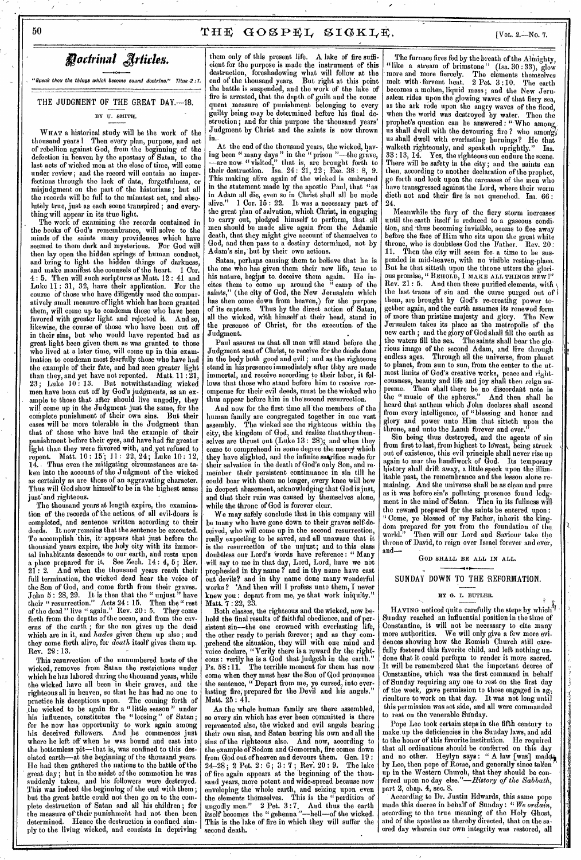**Doctrinal Articles.** 

 $\ddot{\bullet}$ "Speak thou the things which become sound doctrine," Titus.2 :1.

THE JUDGMENT OF THE GREAT DAY.--18. BY U. SMITH.

**WHAT** a historical study will be the work of the thousand years I Then every plan, purpose, and act of rebellion against God, from the beginning of the defection in heaven by the apostasy of Satan, to the last acts of wicked men at the close of time, will come under review; and the record will contain no imperfections through the lack of data, forgetfulness, or misjudgment on the part of the historians ; but all the records will be full to the minutest act, and absolutely true, just as each scene transpired ; and everything will appear in its true light.

The work of examining the records contained in the books of God's remembrance, will solve to the minds of the saints many providences which have seemed to them dark and mysterious. For God will then lay open the hidden springs of human conduct, and bring to light the hidden things of darkness, and make manifest the counsels of the heart. 1 Cor. 4 : 5. Then will such scriptures as Matt. 12 : 41 and Luke 11 : 31, 32, have their application. For the course of those who have diligently used the comparatively small measure.offight which has been granted them, will come up to condemn those who have been favored with greater light and rejected it. And so, likewise, the course of those who have been cut off in their sins, but who would have repented had as great light been given them as was granted to those who lived at a later time, will come up in this examination to condemn most fearfully those who have had the example 'of their fate, and had seen greater light than they, and yet have not repented. Matt.  $11:\bar{2}1,$ 23 ; Luke 10 : 13. But notwithstanding wicked men have been cut off by God's judgments, as an example to those that after should live ungodly, they will come up in the Judgment just the same, for the complete punishment of their own sins. But their cases will be- more tolerable in the Judgment than that of those who have had the example of their punishment befbre their eyes, and have had far greater light than they were favored with, and.yet refused to repent. Matt. 10 : 15'; 11 : 22, 24; Luke 10 : 12, Thus even the mitigating circumstances are taken into the account of the Judgment of the wicked as certainly as are those of an aggravating character. Thus,will God show himself to be in the highest sense just'and righteous.

The thousand years at length expire, the examination of the records of the actions, of all evil-doors is completed, and sentence written according to their It now remains that the sentence be executed. To accomplish this, it- appears that just before the thousand years expire, the holy city with its immortal inhabitants descends to our earth, and rests upon a place prepared for it. See Zech.  $14:4, 5$ ; Rev. 21 : 2. And when the thousand years reach their full termination, the wicked dead hear the voice of the Son of God, and come forth from their graves. John  $5: 28, 29$ . It is then that the "unjust" have their " resurrection." Acts 24 : 15. Then the " rest of the dead " live " again." Rev. 20 : 5. They come forth from the depths of the ocean, and from the caverns of the earth ; for the sea gives up the dead which are in it, and *hades* gives them up also; and they come forth alive, for *death* itself gives them up. Rev. 29 : 13.

This resurrection of the unnumbered hosts of the wicked, removes from Satan the restrictions under which he has labored during the thousand years, while the wicked have all been in their graves, and the righteous all in heaven, so that he has had no one to<br>practice his deceptions upon. The coming forth of practice his deceptions upon. the wicked to be again for a "little season" under<br>his influence, constitutes the "loosing" of Satan; influence, constitutes the "loosing" of Satan; for he now has opportunity to work again among his deceived followers. And he commences just where he left off when he was bound and cast into the bottomless pit—that is, was confined to this desolated earth—at the beginning of the thousand years. He had then gathered the nations to the battle of the great day; but in the midst of the commotion he was suddenly taken, and his followers were destroyed. *This was* indeed the beginning of the end with them; but the great battle could not then go on to the complete destruction of Satan and all his children ; for the measure of their punishment had not then been determined. Hence the destruction is confined aimply to the living wicked, and consists in depriving them only of this present life. A lake of fire sufficient for the purpose is made the instrument of this destruction, foreshadowing what will follow at the end of the thousand years. But right at this point the battle is suspended, and the work of the lake of fire is arrested, that the depth\_ of guilt and the conse quent measure of punishment belonging to every guilty being may be determined before his final destruction; and for this purpose the thousand years' Judgment by Christ and the saints is now thrown

in' At the end of the thousand years, the wicked, having been " many days " in the " prison "—the grave, —are now- " visited," that is, are brought forth to their destruction. Isa.  $24:21, 22$ ; Eze.  $38:8, 9$ . This making alive again of the wicked is embraced in the statement made by the apostle Paul, that "as in Adam all die, even so in Christ shall all be made alive." 1 Cor. 15 : 22. It was a necessary part of the great plan of salvation, which Christ, in engaging to carry out, pledged himself to perform, that. all men should be made alive again from the Adamic death, that they might give account of themselves to God, and then pass to a destiny determined, not by Adam's sin,' but by their own actions.

Satan, perhaps causing them to believe that he is the one who has given them their new life, true to his nature, begins to deceive them again. He incites them to come up around the " camp of the saints," (the city of God, the New Jerusalem which has then come down from heaven,) for the purpose of its capture. Thus by the direct action of Satan, all the wicked, with himself at their head, stand in the presence of Christ, for the execution of the Judgment. Judgment.

Paul assures us that all men will stand before the Judgment seat of Christ, to receive for the deeds done in the body both good and evil ; and as the righteous stand in his presence immediately after they are made immortal, and receive according to their labor, it follows that those who stand before him to receive recompense for their evil deeds, must be the wicked who thus appear before him in the second resurrection.

And now for the first time all the members of the human family are congregated together in one vast<br>assembly. The wicked see the righteous within the The wicked see the righteous within the city, the kingdom of God, and realize that they themselves are thrust out (Luke 13 : 28); and when they come to comprehend in some degree the mercy which they have slighted, and the infinite sacrifice made for their salvation in the death of God's only Son, and remember their persistent continuance in sin till he could bear with them no longer, every knee Will bow in deepest abasement, acknowledging that God is just, and that their ruin was caused by themselves alone, while the throne of God is forever clear.

We may safely conclude that in this company will be many who have gone down to their graves self-deceiyed, who will come up in the second resurrection, really expecting to be saved, and all unaware that it is the resurrection of the unjust; and to this class doubtless our Lord's Words have reference : " Many will say to me in that day, Lord, Lord, have we not prophesied in thy name ? and in thy name have cast out devils? and in thy name done many wonderful works ? 'And then will I profess unto them, I never knew you : depart from me, ye that work iniquity." Matt. 7 :22, 23.

Both classes, the righteous and the wicked, now behold the final results of faithful obedience, and of persistent sin—the one crowned with everlasting life, the other ready to perish forever; and as they com- ,prebend the situation, they will with one mind and voice declare, "Verily there is a reward for the righteons : verily he is a God that judgeth in the earth." Ps. 58:11. The terrible moment for them has now come when they must hear the Son of God pronounce the sentence, " Depart from me, ye cursed, into everlasting fire, prepared for the Devil and his angels." Matt. 25 : 41.

As the whole human family are there assembled, so every sin which has ever been committed is there represented also, the wicked and evil angels bearing their own sins, and Satan bearing his own and all the sins of the righteous also. And now, according to the example of Sodom and Gomorrah, fire comes down from God out of heaven and devours them. Gen. 19 :  $24-28$ ; 2 Pet. 2: 6; 3: 7; Rev. 20: 9. The lake of fire again appears at the 'beginning of the thousand years, more potent and wide-spread because now enveloping the' whole earth, and seizing upon even the elements themselves. This is the "perdition of ungodly men." 2 Pet. 3:7. And thus the earth itself becomes the " gehenna "—hell—of the wicked. This is the lake of fire in which they will suffer the second death. ' .

The furnace fires fed by the breath of the Almighty,<br>ike a stream of brimstone" (Isa. 30:33), glow "like a stream of brimstone" more and more fiercely. The The elements themselves melt with fervent heat.  $2$  Pet.  $3:10$ . The earth becomes a molten, liquid mass ; and the New Jerusalem rides upon the glowing waves of that fiery sea, as the ark rode upon the angry waves of the flood, when the world was destroyed by water. Then the prophet's question can be answered : " Who among us shall dwell with the devouring fire ? who among us shall dwell with everlasting burnings ? He that walketh righteously, and speaketh uprightly." Isa. 33 :13, 14. Yes, the righteous can endure the scene. There will be safety in the city; and the saints can then, according to another declaration of the prophet, go forth and look upon the carcasses of the men who have transgressed against the Lord, where their worm dieth not and their fire is not quenched. Isa. 66 : 24.

Meanwhile the fury of the fiery storm increasesuntil the earth itself is reduced to a gaseous condition, and thus becoming invisible, seems to flee away before the face of Him who sits upon the great white<br>throne, who is doubtless God the Father. Rev. 20: throne, who is doubtless God the Father.<br>11. Then the city will seem for a time t Then the city will seem for a time to be suspended in mid-heaven, with no visible resting-place. But he that sitteth upon the throne utters the glorious promise, " BEHOLD, I MAKE ALL THINGS NEW !" Rev. 21: 5. And then these purified elements, with the last traces of sin and the curse purged out of them, are brought by God's re-creating power together again, and the earth assumes its renewed form of more than pristine majesty and glory. Jerusalem takes its place as the metropolis of the new earth; and the glory of God shall fill the earth as the waters fill the sea. The saints shall bear the glorious image of the second Adam, and live through endless ages. Through all the universe, from planet to planet, from sun to sun, from the center to the utmost limits of God's creative works, peace and righteousness, beauty and life and joy shall then reign supreme. Then shall there be no discordant note in the " music of the spheres." And then shall be heard that anthem which John declares shall ascend from every intelligence, of "blessing and honor and glory and power unto Him that sitteth upon the throne, and unto the Lamb forever and ever."

Sin being thus destroyed, and the agents of sin from first to last, from highest to lowest, being struck out of existence, this evil principle shall never rise up again to mar the handiwork of God. Its temporary history shall drift away, a little speck upon the illimliable past, the remembrance and,the lesson alone remaining. And the universe shall be as clean and pure as it was before sin's polluting presence found lodgment in the mind of Satan. Then in its fullness will the reward prepared for the saints be entered upon "Come, ye blessed of my Father, inherit the king-<br>dom prepared for you from the foundation of the world." Then will our Lord and Saviour take the throne of David, to reign over Israel forever and ever, and--

GOD SHALL BE ALL IN ALL.

#### - • SUNDAY DOWN TO THE 'REFORMATION.

#### **BY G. I. BUTLER.**  $\frac{1}{2}$  i.e. i. b) i.i.i.

HAVING noticed quite carefully the steps by which't  $\parallel$ Sunday reached an influential position in the time of Constantine, it will not be necessary to cite many more authorities. We will only give a few more evidences showing how the Romish Church still carefully fostered this favorite child, and left nothing undone that it could perform to render it more sacred. It will be remembered that the important decree of Constantine, which was the first command in behalf of Sunday requiring any one to rest on the first day of the week, gave permission to those engaged in ag-, riculture to work on that day. It was not long until this permission was set side, and all were commanded to rest on the venerable Sunday.

Pope Leo took certain steps in the fifth century to make up the deficiencies in the Sunday laws, and add to the honor of this favorite institution. He required that all ordinations should be conferred on this day and no other. Heylyn says: " A law [was] madel by Leo, then pope of Rome, and generally since taken ' up in the Western Church, that they should be con- • ferred upon no day else."—*History of the Sabbath*, part 2, chap. 4, sec. 8.

' According to Dr. Justin Edwards, this same pope made this decree in behalf of Sunday : " *We ordain.,*  according to the true meaning of the Holy Ghost, and of the apostles as thereby directed, that on the sacred day wherein our own integrity was restored, all .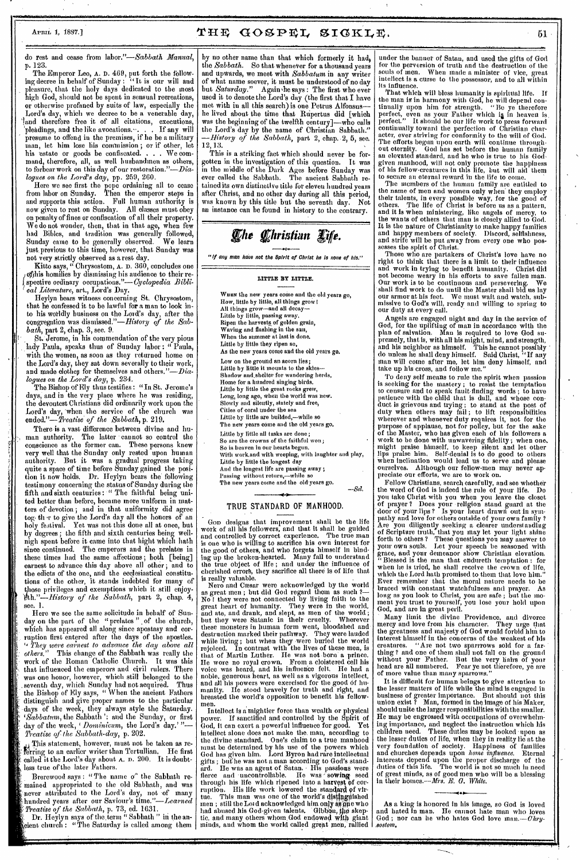### APRIL 1, 1887.] **THE GOSPEL SIGKLE.**  $51$

do rest and cease from *labor."—Sabbath Manual,*  p. 123.

The Emperor Leo, A. D. 469, put forth the following decree in behalf of Sunday : " It is our will and pleasure, that the holy days dedicated to the most high God, should not be spent in sensual recreations, or otherwise profaned by suits of law, especially the Lord's day, which we decree to be a venerable day, 'land therefore free it of all citations, executions, 'pleadings, and the like avocations.-. . . If any will presume to offend in the premises, if he be a military man, let him lose his commission ; or if other, let his 'estate or goods be confiscated. . . We command, therefore, all, as well husbandmen as others, to forbear work on this day of our restoration."— $Dia$ logues *on the Lord's day,* pp. 259, 260.

Here we see first the pope ordaining all to cease from labor on Sunday. Then the emperor steps in and supports this action. Full human authority is now given to rest on Sunday. All classes must obey on penalty of fines or confiscation of all their property. We do not wonder, then, that in that age, when few had Bibles, and tradition was generally followed, Sunday came to be generally observed. We learn just biology, and chained was generally lonowed,<br>Sunday came to be generally observed. We learn<br>just previous to this time, however, that Sunday was not very strictly observed as a rest day.

Kitto says, " Chrysostom, A. D. 360, concludes one of this homilies by dismissing his audience to their respective ordinary occupations."—Cyclopedia *Bibli-I cal Literature,* art., Lord's Day.

Heylyn bears witness concerning St. Chrysostom, that he confessed it to be lawful for a man to look into his worldly business on the Lord's day, after the congregation was dismissed."—History *of the Sabbath,* part 2, chap. 3, sec. 9.

St. Jerome, in his commendation of the very pious lady Paula, speaks thus of Sunday labor : " Paula, with the women, as soon as they returned home on the Lord's day, they sat down severally to their work, and made clothes for themselves and *others."—Dialogues on the Lord's day,* p. 234.

The Bishop of Ely thus testifies : "In St. Jerome's days, and in the very place where he was residing, the devoutest Christians did ordinarily work upon the Lord's day, 'when the service of the church was *ended."—Treatise\* of the Sabbath,* p. 219.

There is a vast difference between divine and human authority. The latter • cannot so control the conscience as the former can. These persons knew very well that the Sunday only rested upon human authority. But it was a gradual progress taking quite a space of time before Sunday.gained the position it now holds. Dr. Heylyn bears the following testimony concerning the status of Sunday during the fifth and sixth centuries : " The faithful being united better than before, became more uniform in matters of devotion ; and in that uniformity did agree tog, ther to give the Lord's day all the honors of an holy festival. Yet was not this done all at once, but by degrees; the fifth and sixth centuries being wellnigh spent before it came into that bight which bath since continued. The emperors and the prelates in these times had the same affections ; both [being] earnest to advance this day above all other ; and to the edicts of the one, and the ecclesiastical constitutions of the other, it stands indebted for many of those privileges and exemptions which it still enjoy-*Vth."—History of the Sabbath,* part 2, chap. 4, see. 1.

Here we see the same solicitude in behalf of Sunday on the part of the "prelates" of the church, which has appeared all along since apostasy and corruption first entered after the days of the apostles. *"'They were earnest to advance the day above all others."* This change of' the Sabbath was really the work of the Roman Catholic Church. It was this that influenced the emperors and civil rulers. There was one honor, however, which still belonged to the seventh day, which Sunday had not acquired. Thus the Bishop of Ely *says, "* When the ancient Fathers distinguish and give proper names to the particular days of the week, they always style the Saturday. *cSabbatunt,* the Sabbath '; and the Sunday, or first day of the week, *Dominieum,* the Lord's day.' *"— Treatise of the Sabbath-day,* p. 202.

This statement, however, must not be taken as referring to an earlier writer than Tertullian. He first called it the Lord's day about A. D. 200. It is doubtless true of the later Fathers.

Brerewood says : "The name o' the Sabbath remained appropriated to the old Sabbath, and was never attributed to the Lord's day, not of many hundred years after our Saviour's *time."—Learned Treatise of the Sabbath,* p. 73, ed. 1631.

Dr. Heylyn *says* of the,term " Sabbath " in the anient church : "The Saturday is called among them by no other name than that which formerly it had, the *Sabbath.* So that whenever for a thousand years and upwards, we meet with *Sabbatum* in any writer of what name soever, it must be understood of no day but Saturday." Again he says : The first who ever but Saturday." Again the says : The first who ever<br>used it to denote the Lord's day (the first that I have met with in all this search) is one Petrus Alfonsus he lived about the time that Rupertus did [which was the beginning of the twelfth century]—who calls the Lord's day by the name of Christian Sabbath." History of the Sabbath, part 2, chap. 2, 5, sec. 12, 13.

This is a striking fact which should never be forgotten in the investigation of this question. It was in the middle of the Dark Ages before Sunday was ever called the Sabbath. The ancient Sabbath retained its own distinctive title for eleven hundred years after Christ, and no other day during all this period, was known by this title but the seventh day. Not an instance can be found in history to the contrary.

# *The Christian Life.*

"If any man have not the Spirit of Christ he is none of his."

**LITTLE BY LITTLE.** 

When the new years come and the old years go, How, little by little, all things grow 1 All things grow—and all decay— Little by little, passing away. Ripen the harvests of golden grain, Waving and flashing in the sun, When the summer at last is done. Little by little they ripen so As the new years come and the old years go. Low on the ground an acorn lies; Little by little it mounts to the skies— Shadow and-shelter for wandering herds, Home for a hundred singing birds. Little by little the great rocks grew, Long, long ago, when the world was new. Slowly and silently, stately and free, Cities of coral under the sea Little by little are builded,—while so The new years come and the old years go. Little by little all tasks are done ; So are the crowns of the faithful won; So is heaven in our hearts begun. With work,and with weeping, with laughter and play, Little by little the longest day And the longest life are passing away; Passing without return,—while so The new years come and the old years go.  $-Sel$ 

#### TRUE STANDARD OF MANHOOD.

GOD designs that improvement shall be the life work of all his followers, and that it shall be guided and controlled by correct experience. The true man is one who is willing to sacrifice his own interest for the good of others, and who forgets himself in binding up the broken-hearted. Many fail to understand the true object of life ; and under the influence of cherished errorb, they sacrifice all there is of life that is really valuable.<br>Nero and Cæsar

Nero and Caesar were acknowledged by the world as great men ; but did God regard them as such ?— No l they were not connected by living faith to the great heart of humanity. They were in the world, and ate, and drank, and slept, as men of the world ; but they were Satanic in their cruelty. Wherever these monsters in human form went, bloodshed and destruction marked their pathway. They were lauded while living ; but when they were buried the world rejoiced. In contrast with the lives of these men, is that of Martin Luther. He was not born a prince. He wore no royal crown. From a cloistered cell his voice was beard, and his influence felt. He had a noble, generous heart, as well as a vigorous intellect, and all his powers were exercised for the good of hu-<br>manity. He stood bravely for truth and right, and<br>breasted the world's opposition to benefit his fellowmen.

Intellect is a mightier force than wealth or physical power. If sanctified and controlled by the Spirit of God, it can exert a powerful influence for good. Yet intellect alone does not make the. man, according to the divine standard. One's claiin to a true manhood must be determined by his use of the powers which God has given him. Lord Byron had rare intellectual gifts ; but he was not a man according to God's standnust be determined by his use of the powers which<br>God has given him. Lord Byron had rare intellectual<br>gifts ; but he was not a man according to God's standard. He was an agent of Satan. Is passions were flerce and uncontrollable. He was sowing seed through his life which ripened into a harvest of corruption. His life work lowered the standard of virtue. This man was one of the world's distinguished men ; still the Lot d acknowledged him only as  $\widetilde{\mathfrak{g}}$  at who had abused his God-given talents. . Gibbon, the skeptic, and many others whom.God endowed with giant minds, and whom the world called great men, rallied

under the banner of Satan, and used the gifts of God for the perversion of truth and the destruction of the souls of men. When made a minister of vice, great intellect is a curse to the possessor, and to all within Its influence.

That which will bless humanity is spiritual life. If the man is in harmony with God, he will depend con-tinually upon him for strength. "Be ye therefore perfect, even as your Father which ia in heaven is. perfect." It should be our life work to press forward continually toward the perfection of Christian character, ever striving for conformity to the will of God. The efforts begun upon earth will continue through-out eternity. God has set before the human family an elevated standard, and he who is true to his Godgiven manhood, will not only promote the happiness of his fellow-creatures in this life, but will aid them to secure an eternal reward in the life to come.

The members of the human family are entitled to the name of men and women only when" they employ their talents, in every possible way, for the good of others. The life of Christ is before us as a pattern, and it is when ministering, like angels of mercy, to the wants of others that man is closely allied to God. It is the nature of Christianity to make happy families and happy members of society. Discord, selfishness, and strife will be put away from every one who possesses the spirit of Christ.

Those who are partakers of Christ's love have no right to think that there is a limit to their influence and work in trying to benefit humanity. Christ did not become weary in his efforts to save fallen man. Our work is to be continuous and persevering. We shall find work to do until the Master shall bid us lay our armor at his feet. We must wait and watch, submissive to God's will, ready and willing to spring to our duty at every call.

Angels are engaged night and day in the service of God, for the uplifting of man in accordance with the plan of salvation. Man is required to love God supremely, that is, with all his might, mind, and strength, and his neighbor as himself. This he cannot possibly ' do unless he shall deny himself. Said Christ, "If any man will come after me, let him deny himself, and take up his cross, and follow me."

To deny self means to rule the spirit when passion is seeking for the mastery ; to resist the temptation to censure and to speak fault-finding words ; to have patience with the child that is dull, and whose conduct is grievous and trying ; to stand at the post of duty when others may fail ; to lift responsibilities wherever and whenever duty requires it, not for the purpose of applause, not for policy, but for the sake of the Master, who has given each of his followers a work to be done with unwavering fidelity ; when one. might praise himself, to keep silent and let other lips praise him. Self-denial is to do good to others When inclination would lead us to serve and please ourselves. Although our fellow-men may never appreciate our efforts, we are to work on.<br>Fellow Christians, search carefully, and see whether

Fellow Christians, search carefully, and see whether the word of God is indeed the rule of your life. Do you take Christ with you when you leave the closet of prayer ? Does your religion stand guard at the door of your lips ? Is your heart drawn out in sympathy and love for others outside of your own family *?*  Are you diligently seeking a clearer understanding of Scripture truth, that you may let your light shine forth to others ? These questions you may answer to your own souls. Let your speech be seasoned With grace, and your demeanor show Christian elevation. " Blessed is the man that endureth temptation : for when he is tried, he shall receive the crown of life, which the Lord bath promised to them that love him." Ever remember that the moral nature needs to be braced with constant watchfulness and prayer. As long as you look to Christ, you are safe ; but the moment you trust to yourself, you lose your hold upon God, and are in great peril.

Many limit the divine Providence, and divorce mercy and love from his character. They urge that the greatness and majesty of God would forbid him to interest himself in the concerns of the weakest of his creatures. "Are not two sparrrows sold for a farthing? and one of them shall not fall on the ground without your Father. But the very hairs of your head are all numbered. Fear ye not therefore, ye are of more value than many sparrows."

It is difficult for human beings to give attention to the lesser matters of life while the mind is engaged in business of greater importance. But should not this union exist ? Man, formed in the image of his Maker, should unite the larger responsibilities with the smaller. He may be engrossed with occupations of overwhelming importance, and neglect the instruction which his children need. These duties may be looked-upon as the lesser duties of life, when they in reality lie at the very foundation of society. Happiness of families and churches depends upon *home influence.* Eternal interests depend upon the proper discharge of the duties of this life. The world is not so much in need of great minds, as of good men who will be a blessing in their homes.—Mrs. *E. G. White.* 

### •

As a king is honored in his image, so God is loved and hated in man. He cannot hate man who loves God ; nor can he who hates God love man.- $Chry$ -*..9o8tom.,* 

( *I 4.11.1.0.ataliformsisismeisseetesliias*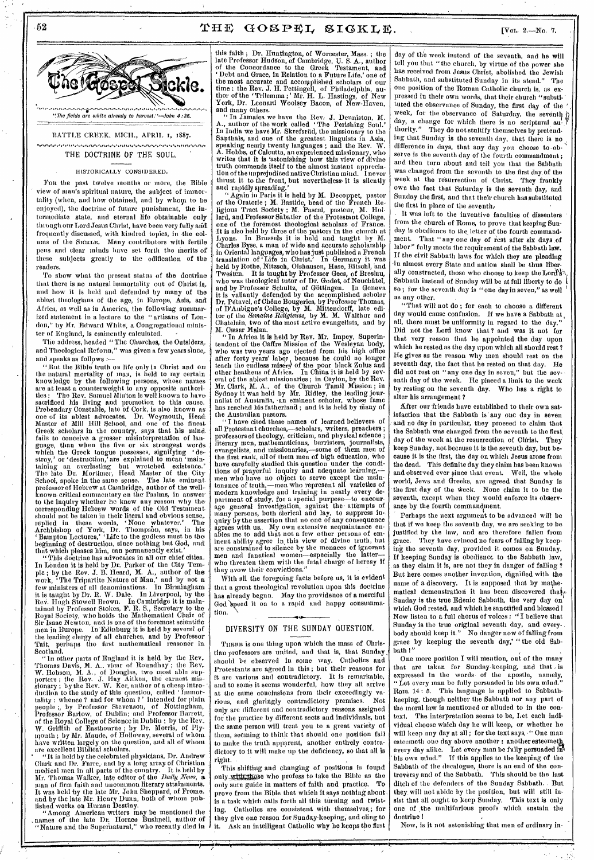## 52  $THF GOSPEL SIGKLE$ . [Vol. 2.—No. 7.



BATTLE CREEK, MICH., APRIL 1, 1887.

**.01"** *,,,,,,,,,,,,,,,,,,,* **,,,,,, •ISIN** *,,,,,,,,* **,14^** *,,,,,,,,, ,,,,,,* **'kg^ ,,,,,** 

#### THE DOCTRINE OF THE SOUL.

#### HISTORICALLY CONSIDERED.

Fon the past twelve months or more, the Bible view of man's spiritual nature, the subject of immortality (when, and how obtained, and by whom to be enjoyed), the doctrine of future punishment, the intermediate state, and eternal life obtainable only through our Lord Jesus Christ, have been very fully arid frequently discussed, with kindred topics, in the colums of the STOKLE. Many contributors with fertile pens and clear minds have set forth the merits of these subjects greatly to the edification of the readers.

To show what the present status of the doctrine that there is no natural immortality out of Christ is, and how it is held and defended by many of the ablest theologians of the age, in Europe, Asia, and Africa, as well as in America, the following summarized statement in a lecture to the " artisans of London," by Mr. Edward White; a Congregational minister of England, is eminently calculated.

The address, headed "The Churches, the Outsiders, and Theological Reform," was given a few years since, and speaks as follows :—

" But the Bible truth on life only in Christ and on, the natural mortality of man, is held to my certain knowledge by the following persons, whose names. are at least a counterweight to any opposite authorities : The Rev. Samuel Minton is well known to have: sacrificed his living and promotion to this cause. Prebendary Constable, late of Cork, is also known as: one of its ablest advocates. Dr. Weymouth, Head. Master of Mill Hill school, and one of the finest. Greek scholars in the country, says that his mind. fails to conceive a grosser misinterpretation of language, than when the five or six strongest words: which the Greck tongue possesses, signifying 'destroy,' or 'destruction,' are explained to mean 'main-taining an everlasting but wretched existence.' The late Dr. Mortimer, Head Master of the City School, spoke in the same sense. The late eminent. professor of Hebrew at Cambridge, author of the wellknown critical commentary on the Psalms, in answer to the inquiry whether he knew any reason why the corresponding Hebrew words of the Old Testament: should not be taken in their literal and obvious sense,<br>replied in these words, 'None whatever.' The<br>Archbishop of York, Dr. Thompson, says, in his ' Bampton Lectures,' Life to the godless must be the beginning of destruction, since nothing but God, and! that which pleases him, can permanently exist.'

"This doctrine has advocates in all our chief cities., In London it is held by Dr. Parker of the City Tempie ; by the Rev. J. B. Heard, M. A., author of the work, 'The Tripartite Nature of Man,' and by not a. few ministers of all denominations. In Birmingham: it is taught by Dr. R. W. Dale. In Liverpool, by the, ReV. Hugh Stowell Brown. In Cambridge it is maintained by Professor Stokes, F. R. S., Secretary to the' Royal Society, who holds the Mathematical Chair of Sir Isaac Newton, and is one of the foremost scientificmen in Europe. In'Edinburg it is held by several of the leading clergy of all churches, and by Professor Tait, perhaps the first mathematical reasoner in Scotland.

"In other parts of England it is held by the Rev.. Thomas Davis, M. A.. vicar of Roundhay ; the Rev. W. Hobson, M. A., of Douglas, two most able sup-porters ; the Rev. J. Hay Aitken, the earnest mis-sionary ; by the Rev. W. Ker, author of a cheap intro- • duction to the study of this question, called ' Immortality : whence ? and for whom ? ' intended for plain people ;, by Professor Stevenson, of Nottingham, Professor Barlow, of Dublin; and Professor Barrett, of the Royal College of Science in Dublin ; by the Rev.. W. Griffith of Eastbourne ; by Dr. Morris, of Plymouth ; by Mr. Maude, of Holloway, several of whom. have written largely on the question, and all of whom are excellent Biblical scholars.

are excellent Biblical scholars.<br>''H is held by the celebrated physicians, Dr. Andrew<br>Clark and Dr. Farre, and by a long array of Christian medical men in all parts of the country. It is held by Mr. Thomas Walker, late editor 9f the *Daily. News, a*  man of firm faith and uncommon literary attainments. It was held 'by the late Mr. John Sheppard, of Frome. and by the late Mr. Henry Dunn, both of whom published works on Human Destiny.

"Among American writers may be mentioned the names of the late Dr. Horace Bushnell, author of "Nature and the Supernatural," who recently died in

this faith ; Dr. Huntington, of Worcester, Mass. ; the late Professor Hudson, of Cambridge, U. S. A., author<br>of the Concordance to the Greek Testament, and ' Debt and Grace, in Relation to a Future Life,' one of the most accurate and accomplished scholars of our time ; the Rev. J. H. Pettingell, of Philadelphia, author of the 'Trilemma ;' Mr. H. L. Hastings, of New York, Dr. Leonard Woolsey Bacon, of New-Haven, and many others.

" In Jamaica we have the Rev, J. Denniston, M. A., author of the work called The Perishing Soul.' In India we have Mr. Skrefsritd, the missionary to the Santhals, and one of the greatest linguists in Asia, speaking nearly twenty languages ; and the Rev. W. A. Hobbs, of Calcutta, an experienced missionary, who writes that it is 'astonishing how this view of divine truth commends itself to the almost instant appreciation of the unprejudiced native Christian mind. I never thrust it to, the front, but nevertheless,it is silently and rapidly spreading.

" Again in Paris it is held by M. Decoppet, pastor of the Oratorie ; M. Bastide, head of the French Religious Tract Society ; M. Pascal, pasteur, M. Hot: lard, and Professor Sabatier of the Protestant College, one of the foremost theological scholars of France. It is also held by three of the pastors in the church at Lyons. In Brussels it is held and taught by M. Charles Byse, a man of wide and accurate scholarship , in Oriental languages, who has just published a French translation of 'Life in Christ.' In Germany it was held by Rothe, Nitzsch, Olshausen, Hese, Ritschl, 'and Twesten. It is taught by Professor Gees, of Breslau, who was theological tutor of Dr. Godet, of Neuchatel, and by Professor Schultz, of Gottingen. In Geneva it is valiantly defended by the accomplished scholar<br>Dr. Pétavel, of Chêne Bougeries, by Professor Thomas,<br>of D'Aubigne's College, by M. Mittendorff, late editor of *theSemaine Religieuse,* by M. M. Walthur and Chatelain, two of the most active evangelists, and by

M. Cæsar Malan.<br>'' In Africa it is held by Rev. Mr. Impey, Superintendent of the Caffre Mission of the Wesley who was two years ago ejected from his high office after forty years' labor, because he could no longer teach the endless misers of the poor black Zulus and other heathens of  ${\bf A}$ f<sub>t</sub>ica. In China it is held by several of the ablest missionaries ; in Ceylon, by the Rev. Mr. Clark, M. A., of the Church Tamil Mission ; in Sydney it was held by Mr. Ridley, the leading journalist of Australia, -an eminent scholar, whose fame has reached his fatherland ; and it is held by many of the Australian pastors.

" I have cited these names of learned believers of all Protestant churehes,—scholars, writers, preachers ; professors of theology, criticism, and physical science ; literary men, mathematicians, barristers, journalists, evangelists, and missionaries,—some of them men of the first rank, all of them men of high education, who have carefully studied this question under the condi-<br>tions of prayerful inquiry and adequate learning, men who have no object to serve except the maintenance of truth,—men who represent all varieties of modern knowledge and training in nearly every department of study, for a special purpose—to encour-age general investigation, against the. attempts of many persons, both clerical and lay, to suppress inquiry by the assertion that no one of any consequence agrees with us,. My own extensive acquaintance enables ine to add that not a few other persons of eminent ability agree in, this view of divine truth, but are constrained to silence by the menaces of ignorant men and fanatical women—especially the latter who threaten them with the fatal charge of heresy if they avow their convictions."

With all the foregoing facts before us, it is evident that a great theological revolution upon this doctrine has already begun. May the providence of a merciful God speed it on to a rapid and happy consummation.

#### DIVERSITY ON THE SUNDAY QUESTION.

**--.11** 

THERE is one thing upon which the mass of Christian professors are united, and that is, that Sunday, should be observed in some way. Catholics and Protestants are agreed in this ; but their reasons for it are various and contradictory. It is remarkable, and to some it seems wonderful, how they all arrive at the same conclusions from their exceedingly various, and glaringly contradictory premises. Not only are different and contradictory reasons assigned for the practice by different sects and individuals, but the same person will treat you to a great variety of them, seeming to think that should one position fail to make the truth apparent, another entirely contradictory to it will make up the deficiency, so that all is right.

This shifting and changing of positions is found only with those who profess to take the Bible as the only sure guide in matters of faith and practice. To prove from the Bible that which it says nothing about, is a task which calls forth all this turning and twist-<br>ing. Catholics are consistent with themselves; for Catholics are consistent with themselves,; for they give one reason for Sunday-keeping, and cling to<br>it. Ask an intelligent Catholic why he keeps the first Ask an intelligent Catholic why he keeps the first

day of the week instead of the seventh, and he will tell you that "the church, by virtue of the power she has received from Jesus Christ, abolished the Jewish Sabbath, and substituted Sunday in its stead." The one position of the Roman Catholic church is, as expressed in their own words, that their church "substituted the observance of Sunday, the first day of the ' week, for the observance of Saturday, the seventh  $\hat{b}$ day, a change for which there is no scriptural au- $\mathcal F$ thority." They do not stultify themselves by pretending that Sunday is the seventh day, that there is no difference in days, that any day you choose to observe is the seventh day of the fourth commandment ; and then turn about and tell you that the Sabbath was changed from the seventh to the first day of the week at the resurrection of Christ. They frankly own the fact that Saturday is the seventh day, and Sunday the first, and that their church has substituted the first in place of the seventh,

It was left to the inventive faculties of dissenters from the church of Rome, to prove that keeping Sunday is obedience to the letter of the fourth command-<br>ment. That "any one day of rest ofter six days of That "any one day of rest after six days of labor" fully meets the requirement of the Sabbath law. If the civil Sabbath laws for which they are pleading in almost every State and nation shall be thus liberally constructed, those who choose to keep the Lord's Sabbath instead of Sunday will be at full liberty to do so ; for the seventh day is " one day in seven," as well as any other.

"That will not do ; for each to choose a different day would cause confusion. If we have a Sabbath at all, there must be uniformity in regard to the day." Did not the Lord know that ? and was it not for that very reason that he appointed the day upon which he rested as the day upon which all should rest ? He gives as the reason why men should rest on the seventh day, the fact that he rested on that day. He did not rest on "any one day in seven," but the seventh day of the week. He placed a limit to the week by resting on the seventh day. Who has a right to alter his arrangement ?

After our friends have established to their own satisfaction that the Sabbath is 'any one day in seven and no day in particular, they proceed to claim that the Sabbath was changed from the seventh to the first, day of the week at the resurrection of Christ. They keep Sunday, not because it is the seventh day, but because it is the first, the day on which Jesus arose from the dead. This definite day they claim has been known and observed ever since that event. Well, the whole world, Jews and Greeks, are agreed that Sunday is the first day of the week. None claim it to be the seventh, except when they would enforce its observance by the fourth commandment.

Perhaps the next argument to be advanced will be that if we keep the seventh day, we are seeking to be justified by the law, and are therefore fallen from grace. They have evinced no fears of falling by keeping the seventh day, provided it comes on Sunday. If keeping Sunday is obedience to the Sabbath law, as they claim it is, are not they in danger of falling ? But here comes another invention, dignified with the name of a discovery. It is supposed that by mathematical demonstration it has been discovered that Sunday is the true Edenic Sabbath, the very day on which God rested, and which he sanctified and blessed I Now listen to a full chorus of voices : " I believe that Sunday is the true original seventh day, and every- . body should keep it." No danger now of falling from grace by keeping the seventh day,' " the old Sabbath I"

One more position I will mention, out of the many that are taken for Sunday-keeping, and that, is expressed in the words of the apostle, namely, Let every man be fully persuaded in his own mind. Rom. 14: 5. This language is applied to Sabbathkeeping, though neither the Sabbath nor any part of the moral law is mentioned or alluded to in the context. The interpretation seems to be, Let each individual choose which day he will keep, or whether he will keep any day at all; for the text says, " One man esteemeth one day above another : another esteemeth. every day alike. Let every man be fully persuaded in every day alike. Let every man be fully persuaded in his own mind." If this applies to the keeping of the Sabbath of the decalogue, there is an end of the controversy and of the Sabbath. This should be the last ditch of the defenders of the Sunday Sabbath. . But they, will not abide by the position, but will still insist that all ought to keep Sunday. This text is only one of the multifarious proofs which sustain the doctrine I

Now, is it not astonishing that men of ordinary in-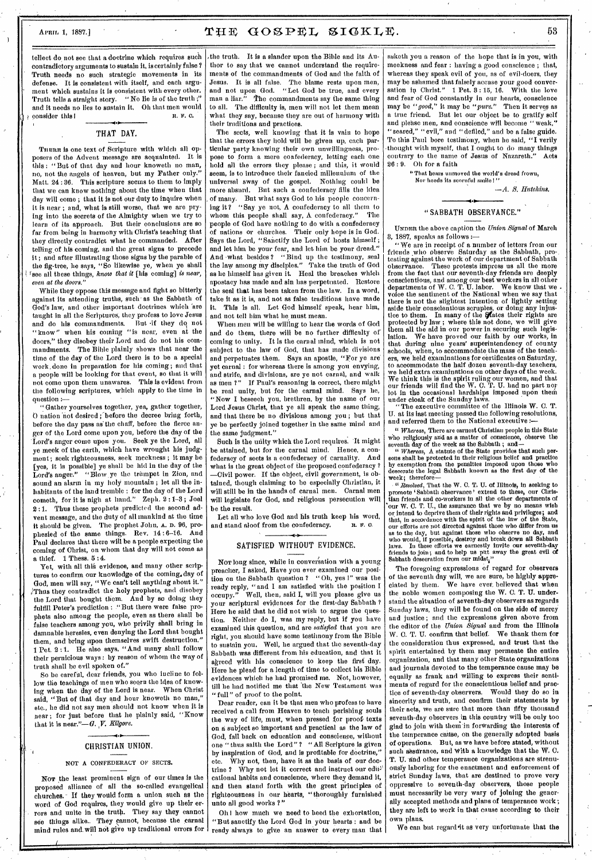### APRIL 1, 1887.] THE GOSPEL SIGKLE.  $53$

tellect do not *see* that a doctrine which requires such contradictory arguments to sustain it, is certainly false ? Truth needs no such strategic movements in its defense. It is consistent with itself, and each argument which sustains it is consistent with every other. Truth tells a straight story. " No lie is of the truth ;" and it needs no lies to sustain it. Oh that men would<br>consider this  $\mathbf{r} \cdot \mathbf{r} \cdot \mathbf{c}$ . consider this I. 4

#### THAT DAY.

THERE is one text of Scripture with which all opposers of the Advent message are acquainted. It is this : "But of that day and hour knoweth no man, no, not the angels of heaven, but my Father only." Matt. 24 : 36. This scripture seems to them to imply that we can know nothing about the time when that day will come ; that it is not our duty to inquire when it is near ; and, what is still worse, that we are prying into the secrets of the Almighty when we try to learn of its approach. But their conclusions are so far from being in harmony with Christ's teaching that they directly contradict what he commanded. After telling.of his coming, and the great signs to precede it ; and after illustrating those signs by the parable of the fig-tree, he says, "So likewise ye, when ye shall see all these things, *know that it* [his coming] *is near, even at the doors."* 

While they oppose this message and fight so bitterly against its attending truths, such as the Sabbath of God's law, and other important doctrines which 'are taught in all the Scriptures, they profess to love Jesus and do his commandments. But 'if they do not "know" when his coming "is near, even at the doors," they disobey their Lord and do not his commandments. The Bible plainly shows that near the time of the day of the Lord there is to be a special work, done in preparation for his coming ; and that a people will be looking for that event, so that it will not come upon them unawares. This is evident from the following scriptures, which apply to the time in question :—

"Gather yourselves together, yea, gather together, O nation not desired ; before the decree bring forth, before the day pass as the chaff, before the fierce anger of the Lord come upon you, before the day of the Lord's anger come upon you. Seek ye the Lord, all ye meek of the earth, which have wrought his judgment; seek righteousness, seek meekness ; it may be [yes, it is possible] ye shall be hid in the day of the Lord's anger." "Blow ye the trumpet in Zion, and sound an alarm in my holy mountain; let all the inhabitants of the land tremble : for the day of the Lord cometh, for it is nigh at hand." Zeph. 2 :1-3 ; Joel 2:1. Thus these prophets predicted the second advent message, and the duty of all mankind at the time it should be given. The prophet John, A. D. 96, prophesied of the same things. Rev. 14 : 6-16. And Paul declares that there will be a people expecting the coming of Christ, on whom that day will not come as a thief. 1 Thess. 5 : 4.

Yet, with all this evidence, and many other scriptures to confirm our knowledge of the coming,day of God, men will say, "We can't tell anything about it." ,!Thus they contradict the holy prophets, and disobey the Lord that bought them. And by so doing they fulfill Peter's prediction : "But there were false prophets also among the people, even as there shall be false teachers among you, who privily shall bring in damnable heresies, even denying the Lord that bought them, and bring upon themselves swift destruction." 1 Pet. 2 : 1. He also says, "And many shall follow their pernicious ways : by reason of whom the way of truth shall be evil spoken of."

So be careful, dear friends, you who incline to follow the teachings of men who seem the idea of knowing when the day of the Lord is near. When Christ said, "But of that day and hour knoweth no man," etc., he did not say men should not know when it is near; for just before that he plainly said, "Know that it is near."—G. *V. Kilgore.* 

#### CHRISTIAN UNION.

#### NOT A CONFEDERACY OF SECTS.

Nov the least prominent sign of our times is the proposed alliance of all the so-called evangelical churches. If they would form a union such as the word of God requires, they would give up their errors and unite in the truth. They say they cannot see things alike.. They cannot, because the carnal mind rules and will not give up traditional errors for

the truth. It is a slander upon the Bible and its  $\Lambda$ uthor to say that we cannot understand the requirements of the commandments of God and the faith of Jesus. It is all false. The blame rests upon men, and not upon God. "Let God be true, and every man a liar." The commandments say the same thing to all. The difficulty is, men will not let them mean what they say, because they are out of harmony with their traditions and practices.

The sects, well knowing that it is vain to hope that the errors they hold will be given up, each particular party knowing their own unwillingness, propose to form a mere confederacy, letting each one hold all the errors they please ; and this, it would seem, is to introduce their fancied millennium of the universal sway of the gospel. Nothing could be more absurd. But such a confederacy fills the idea of many. But what says God to his people concern-<br>ing it? "Say ye not, A confederacy to all them to "Say ye not, A confederacy to all them to whom this people shall say,  $\Lambda$  confederacy." people of God have nothing to do with a confederacy of nations or churches. Their only hope is in God. Says the Lord, "Sanctify the Lord of hosts himself ; and let him be your fear, and let him be your dread." And what besides ? "Bind up the testimony, seal the law among my disciples." Take the truth of God as he himself has given it. Heal the breaches which apostacy has made and sin has perpetuated. Restore the seal that has been taken from the law. In a word, take it as it is, and not as false traditions have made it. This is all. Let God himself speak, hear him, and not tell him what he must mean.

When men will be willing to hear the words of God and do them, there will be no further difficulty of coming to unity. It is the carnal mind, which is not subject to the law of God, that has made divisions and perpetuates them. Says an apostle, "For ye are yet carnal : for whereas there is among you envying, and strife, and divisions, are ye not carnal, and walk as men ?" If Paul's reasoning is correct, there might be real unity, but for the carnal mind. Says he, "Now I beseech you, brethren, by the name of our Lord Jesus Christ, that ye all speak the same thing, and that there be no divisions among you ; but that ye be perfectly joined together in the same mind and the same judgment."

Such is the unity which the Lord requires. It might be attained, but for the carnal mind. Hence, a confederacy of sects is a confederacy of carnality. And what is the great object of the proposed confederacy ? —Civil power. If the object, civil government, is obtained, though claiming to be especially Christian, it will still be in the hands of carnal men. Carnal men will legislate for God, and religious persecution will be the result.

Let all who love God and his truth keep his word,<br>nd stand aloof from the confederacy.  $\mathbf{R}$ ,  $\mathbf{F}$ ,  $\mathbf{O}$ . and stand aloof from the confederacy.

### SATISFIED WITHOUT EVIDENCE.

Nor long since, while in conversation with a young preacher, I asked, Have you ever examined our position on the Sabbath question ? " Oh, yes I" was the ready reply, "and I am satisfied with the position I occupy." Well, then, said I, will you please give us your scriptural evidences for the first-day Sabbath ? Here he said that he did not wish to argue the question. Neither do I, was my reply, but if you have examined this question, and are *satisfied* that you are right, you should have some testimony from the Bible to sustain you. Well, he argued that the seventh-day Sabbath was different from his education, and that it agreed with his conscience to keep the first day. Here he plead for a length of time to collect his Bible evidences which he had promised me. Not, however, till he had notified me that 'the New Testament was " full" of proof to the point.

Dear reader, can it be that men who profess to have received a call from Heaven to teach perishing souls the way of life, must, when pressed for proof texts on a subject so important and practical as the law of God, fall back on education and conscience, without one " thus saith the Lord" ? "All Scripture is given by inspiration of God, and is profitable for doctrine," etc. Why not, then, have it as the basis of our doctrine ? Why not let it correct and instruct our educational habits and conscience, where they demand it, and then stand forth with the great principles of righteousness in our hearts, "thoroughly furnished unto all good works ?"

Oh I how much we need to heed the exhortation, "But sanctify the Lord God in your hearts : and be ready always to give an answer to every man that

asketh you a reason of the hope that is in you, with meekness and fear : having a good conscience ; that, whereas they speak evil of you, as of evil-doers, they may be ashamed that falsely accuse your good conversation in Christ." 1 Pet, 3: 15, 16. With the love and fear of God constantly in our hearts, conscience may be *"good,"* it may be *"pure."* Then it serves as a true friend. But let our object be to gratify self and please men, and conscience will become "weak," "seared," "evil," and "defiled," and be a false guide. To this Paul bore testimony, when he said, "I verily thought with myself, that I ought to do many things contrary to the name of Jesus of Nazareth." Acts Oh for a faith

"That bears unmoved the world's dread frown, Nor heeds its scornful smile!"

*—A. S. Hutchins.* 

"SABBATH OBSERVANCE."

UNDER the above caption the *Union Signal* of March 3, 1887, speaks as follows :—

" We are in receipt of a number of letters from our friends who observe Saturday as the Sabbath, pro-. testing against the work of our department of Sabbath observance. These protests impress us all the more from the fact that our seventh-day friends are deeply conscientious, and among our best workers in all other departments of W. C. T. U. labor. We know that we . voice the sentiment of the National when we say that there is not the slightest intention of lightly set aside their conscientious scruples, or doing any injus-tice to them. In many of the Vates their rights are protected by law ; where this not done, we will give them all the aid in our power in securing such legislation. We have proved our faith by our works, in that during nine years' superintendency of county schools, when, to accommodate the mass of the teachers, we held examinations for certificates on Saturday, to accommodate the half dozen seventh-day teachers, we held extra examinations on other days of the week. We think this is the spirit ruling our women, and that our friends will find the W. C. T. U. had no part nor lot in the occasional hardships imposed upon them

under cloak of the Sunday laws. "The executive committee of the Illinois W. C. T. U. at its last meeting passed the following resolutions, and referred them to the National executive :-

" *Whereas,* There are earnest Christian people in this State Who religiously and as a matter of conscience, observe the

seventh day of the week as the Sabbath ; and— " *Whereas,* A statute of the State provides that such persons shall be protected in their religious belief and practice by exemption from the penalties imposed upon those who desecrate the legal Sabbath known as the first day of the week; therefore—

*"Resolved,* That the W. C. T. U. of Illinois, in seeking to promote 'Sabbath observance' extend to these, our Christian friends and co-workers in all the other departments of 'our W. C. T. U., the assurance that we by no means wish or intend to deprive them of their rights and privileges; and<br>that, in accordance with the spirit of the law of the State,<br>our efforts are not directed against those who differ from us<br>as to the day, but against those who Sabhath desecration from our  $\operatorname{mid}_{\mathbf{t}}$ "

The foregoing expressions of regard for observers of the seventh day will, we are sure, be highly appreciated by them. We have ever, believed that when the noble women composing the W. C. T. U. understand the situation of seventh-day observers as regards Sunday laws, they will be found on the side of mercy and justice; and the expressions given above from the editor of the *Union Signal* and from the Illinois W. C. T. U. confirm that belief. We thank them for the consideration thus expressed, and trust that the spirit entertained by them may permeate the entire organization, and that many other State organizations and journals devoted to the temperance cause may be equally as frank and willing to express their sentiments of regard for the conscientious belief and practice of seventh-day observers. Would they do so in sincerity and truth, and confirm their statements by their acts, we are sure that more than fifty thousand seventh-day observers in this country will be only too glad to join with them in forwarding the interests of the temperance cause, on the generally adopted basis of operations. But, as we have before stated, without such assurance, and With a knowledge that the W. C. T. U. and other temperance organizations are strenuously laboring for the enactment and enforcement of strict Sunday laws, that are destined to prove very oppressive to seventh-day observers, those people must necessarily be very wary of joining the generally accepted methods and plans of temperance work ; they are left to work in that cause according to their own plans.

We can but regard it as very unfortunate that the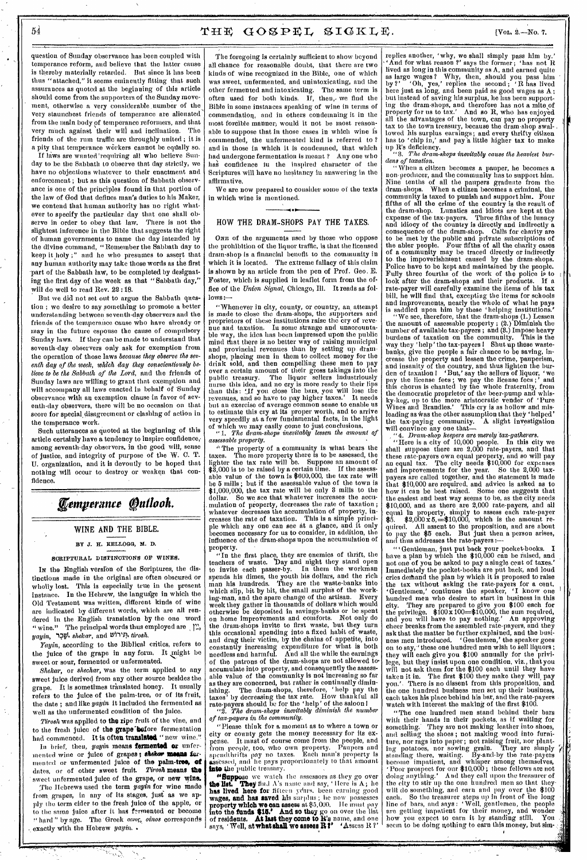### $54$  THE GOSPEL SIGKLE. [Vot. 2.—No. 7.]

question of Sunday observance has been coupled with temperance reform, and believe that the latter cause is thereby materially retarded. But since it has been thus "attached," it seems eminently fitting that such assurances as quoted at the beginning of this article should come from the supporters of the Sunday movement, otherwise a very considerable number of the very staunchest friends of temperance are alienated from the main body of temperance reformers, and that very much against their will and inclination. The friends of the rum traffic are throughly united ; it is a pity that temperance workers cannot be equally so.

If laws are wanted 'requiring all who believe Sunday to be the Sabbath to observe that day strictly, we have no objections whatever to their enactment and enforcement ; but as this question of Sabbath observance is one of the principles found in that portion of the law of God that defines man's duties to his Maker, we contend that human authority has no right whatever to specify the particular day that one shall observe in order to obey that law. There is not the slightest inference in the Bible that suggests the right of human governments to name the day intended by the divine command, "Remember the Sabbath day to keep it holy ;" and he who presumes to assert that any human authority may take those words as the first part of the Sabbath law, to be completed by designating the first day of the week as that "Sabbath day," will do well to read Rev. 22:18.

But we did not set out to argue the Sabbath question ; we desire to say something to promote a better understanding between seventh-day observers and the friends of the temperance cause who have already or may in the future espouse the cause of compulsory Sunday laws. If they can be made to understand that seventh-day observers only ask for exemption from the operation of those laws *because they observe the seventh day of the week, which day they conscientiously believe to be the Sabbath of the Lord,* and the friends of Sunday laws are willing to grant that exemption and will accompany all laws enacted in behalf of 'Sunday observance with an exemption clause in favor of seventh-day observers, there will be no occasion on that score for special, disagreement or clashing of action in the temperance work..

Such utterances as quoted at the beginning of this article certainly have a tendency to inspire confidence; among seventh-day observers, in the good will, sense of justice, and integrity of purpose of the W. C. T. U. organization, and it is devoutly to be hoped that nothing will occur to destroy or weaken that confidence.

## **Eemperance Outlook.**

#### **WINE AND THE BIBLE.**

### BY J. H. KELLOGG, M. D.

#### SCRIPTURAL DISTINCTIONS OF WINES.

In the English version of the Scriptures, the distinctions made in the original are often obscured or wholly lost. This is especially true in the present instance. In the Hebrew, the language in which the Old Testament was written, different kinds of wine are indicated by different words, which are all rendered in the English translation by the one word "wine." The principal words thus employed are  $\sum$ . *yayin,* 1.?Igt *81telcar,* and tri)i,p, *tirosh.* 

*Yayin,* according to the Biblical critics, refers to the juice of the grape in any form. It might be sweet or sour, fermented or unfermented.

*Shekair,* or *shechar,* was the term applied to any sweet juice derived from any other source besides the grape. It is sometimes translated honey. It usually refers to the juice of the palm-tree, or of its fruit, the date ; and like *yayin* it included the fermented as well as the unfermented condition of the juice.

*Tirosh* was applied to the ripe fruit of the vine, and to the fresh juice of the grape before fermentation had commenced. It is often **translated "** new wine."

In brief, then, *yayin* means **fermented or** unfermented wine or juice of grapes; theker means fermented or unfermented juice of the palm-tree, of dates, or of other sweet fruit. *Tirosh* **means the**  sweet unfermented juice of the grape, or new wine. The Hebrews used the term *yayin* for wine made

from grapes, in any of its stages, just as we apply the term cider to the fresh juice of the apple, or to the same juice after it has fermented or become :` hard " by age. The Greek *otvoc, 0i1108* corresponds -. exactly With the Hebrew *yayin. .* 

The foregoing is certainly sufficient to show beyond all chance for reasonable doubt, that there are two kinds of wine recognized in the Bible, one of which was sweet, unfermented, and unintoxicating, and the other fermented and intoxicating. The same term is often used for both kinds. If, then,• we find the Bible in some instances speaking of wine in terms of commendation, and in others condemning it in the most forcible manner, would it not be most reasonable to suppose that in those cases in which wine is commended, the unfermented kind is referred to ? and in those in which it is condemned, that which had undergone fermentation is meant ? Any one who has confidence in the inspired character of the Scriptures will have no hesitancy in answering in the affirmative.

We are now prepared to consider some of the texts in which wine is mentioned.

#### **HOW THE DRAM-SHOPS PAY THE TAXES.**

ONE of the arguments used by those who oppose the prohibition of the liquor traffic, is that the licensed drain-shop is a financial benefit to the community in which it is located. The extreme fallacy of this claim is shown by an article from the pen of Prof. Geo. E. Foster, which is supplied in leaflet form from the office of the *Union Signal,* Chicago, Ill. It reads as follows:

"Whenever in city, county, or country, an attempt is made to close the dram-shops, the supporters and proprietors of these institutions raise the cry of reve-nue and taxation. In some strange and unaccountable way, the idea has been impressed upon the public mind that there is no better way of raising municipal and provincial revenues than by setting up dram. shops, placing men in them to collect money for the drink sold, and then compelling these men to pay over a certain amount of their gross takings into the public treasury. The liquor sellers industriously nurse this idea, and no cry is more ready to their lips than this: 'if you close the bars, you will lose the revenues, and so have to pay higher taxes.' It needs but an exercise of average common sense to enable us to estimate this cry at its proper worth, and to arrive very speedily at a few fundamental facts, in the light of which we may easily come to just conclusions, " *1. The dram-shops inevitably lessen the amount of* 

*assessable property.* 

" The property of a community is what bears the taxes. The more property there is to be assessed, the lighter the tax rate will be. Suppose an amount of \$3,000 is to be raised by a certain time. If the assess-able value of the town is \$600,000, the tax rate will be 5 mills ; but if the assessable value of the town is \$1,000,000, the tax rate will be only 3 mills to the dollar. So we see that whatever increases the aecu- . mulation of property, decreases the rate of taxation ; whatever decreases the accumulation of property, increases the rate of taxation. This is a simple princi-ple which any one can see at a glance, and it only becomes necessary for us to consider, in addition, the influence of the dram-shops upon the accumulation of property.

"In the first place, they are enemies of thrift, the teachers of waste. 'Day and night they stand open to invite each passer-by. In them the workman spends his dimes, the youth his dollars, and the rich man his hundreds. They are the waste-banks into which slip, bit by bit, the small surplus of the working-man, and the spare change of the artisan. Every week they gather in thousands of dollars which would otherwise be deposited in savings-banks or be spent on home improvements and comforts. Not only do the dram-shops invite to first waste, but they turn this occasional spending into a fixed habit of waste, and drag their victim, by the chains of- appetite, into constantly increasing expenditure for what is both needless and harmful. And all the while the earnings of the patrons of the dram-shops are not allowed to, accumulate into property, and consequently the asses able value of the community is not increasing so far as they are concerned, but rather is continually dimin-ishing. The dram-shops, therefore, 'help pay the taxes' by decreasing the tax rate. How thankful all rate-payers should be for the 'help' of the saloon I

"2. *The dram-shops inevitably diminish the number of tax-payers in the community.* 

"Please think for a moment as to where a town or city or county gets the money necessary for its expense. It must of course come from the people, and from people, too, who own property. Paupers and spendthrifts pay no taxes. Each man's property is assessed, and he pays proportionately to that amount Into the public treasury,

**"Suppose** we watch the assessors as they go over the lists." They find A's name and say, 'Here is A; he the list. They find A's name and say, ' Here is A; he has lived here for fifteen years. been carning good wages, and has **saved** his surplus ; lie now possesses property which **we** can assess at \$5,000. He must pay Into the funds \$15.' And so they go on over the list of residents. At last they come to R's name, and one says, 'Well, at what shall we assess R?' 'Assess R?' replies another, 'why, we shall simply pass him by.' `And for what reason ?' says the former ; 'has not R lived as long in this community as A, and earned quite as large wages? Why, then, should you pass him<br>by ?' Ch, yes,' replies the second; 'R has lived here just as long, and been paid as good wages as A ; but instead of saving his surplus, be has been supporting the dram-shops, and therefore has not a mite of property for us to tax.' And so R, who has enjoyed all the advantages of the town, can pay no property tax to the town treasury, because the dram-shop swallowed his surplus earnings; and every thrifty citizen has to 'chip in,' and pay a little higher tax to make

up R's deficiency. "3. *The dram-shops inevitably cause the heaviest bur-dens of taxation.* 

" When a citizen becomes a pauper, he becomes a non-producer, and the community has to support him. Niue tenths of all the paupers graduate from the dram-shops. When a citizen becomes a criminal, the community is taxed to punish and support him. Four fifths of all the crime of the country is the result of the dram-shop. Lunatics and idiots are kept at the expense of the tax-payers. Three fifths of the lunacy and idiocy of the country is directly and indirectly a consequence of the dram-shop. Calls for charity aro to be met by the public and private subscriptions of the abler people. Four fifths of all the charity cases of a community may be traced directly or indirectly to. the impoverishment caused by the dram-shops. Police have to be kept and maintained by the people. Fully three fourths of the work of the police is to look after the dram-shops and their products. If a look after the dram-shops and their products. rate-payer will carefully examine the items of his tax bill, he will find that, excepting the items for schools and improvements, nearly the whole of what he pays is saddled upon him by these 'helping institutions.'

"We see, therefore, that the dram-shops (1.) Lessen the amount of assessable property ; (2.) Diminish the number of available tax-payers ; and (3.) Impose heavy burdens of taxation on the community. This is the way they 'help' the tax-payers I Shut up these wastebanks, give the people a fair chance to be saving, increase the property and lessen the crime, pauperism, and insanity of the country, and thus lighten the burden of taxation I 'But,' say the sellers of liquor, we pay the license fees ; we pay the license fees ;' and this chorus is chanted by the whole fraternity, from the democratic proprietor of the beer-pump and whis-ky-keg, up to the more aristocratic vender of 'Pure Wines and Brandies.' This cry is as hollow and misleading as was the other assumption that they 'helped' the tax-paying community. A. slight investigation the tax-paying community.<br>will convince any one that—

, "4. *Dram-shop keepers are raerely'tax-gatherers.*  "Here is a city of 10,000 people. In this city we shall suppose there are 2,000 rate-payers, and that these rate-payers own equal property, and so will pay an equal tax. The city needs \$10,000 for expenses and improvements for the year. So the 2,000 taxpayers are called together, and the statement is made that \$10,000 are required, and advice is asked as to how it can be best raised. Some one suggests that the easiest and best way seems to be, as the city needs \$10,000, and as there are 2,000 rate-payers, and all equal in property, simply to assess each rate-payer  $$5.$   $$2,000 \times 5 = $10,000$ , which is the amount required. All assent to the proposition, and are about to pay the \$5 each. But just then a person arises, and thus addresses the rate-payers:—

" ' Gentleman, just put back your pocket-books. I have a plan by which the \$10,000 can be raised, and not one of you be asked to pay a single cent of taxes.' Immediately the pocket-books are put back, and loud cries deffiand the plan by which it is proposed to raise the tax without asking the rate-payers for a cent. 'Gentlemen,' continues the speaker, 'I know one hundred men who desire to start in business in this city. They are prepared to give you \$100 each for the privilege. \$100 x 100=810,000, the sum required, and you will have to pay nothing.' An approving cheer breaks from the assembled rate-payers, and they ask that the matter be further explained, and the business men introduced. 'Gentlemen,' the speaker goes on to say," these one hundred men wish to sell liquors ; they will each give you \$100 annually for the privilege, but they insist upon one condition, viz., that you will not ask them for the \$100 each until they have taken it in. The first \$100 they make they will, pay you.'. There is no dissent from this proposition, and the one hundred business men set up their business, each takes his place behind his bar, and the rate-payers watch with interest the making of the first \$100.

"The one hundred men stand behind their bars with their hands in their pockets, as if waiting for<br>something. They are not making leather into shoes, something.' They are not making leather into shoes, and selling the shoes ; not making wood into furni-ture, nor rags into paper; not raisingfruit, nor planting potatoes, nor sowing grain. They are simply standing there, waiting. By-and-by the rate-payers become impatient, and whisper among themselves, 'Poor prospect for our \$10,000 ; these fellows are not doing anything.' And they call upon the treasurer of the city to stir up the one hundred men so that theywill do something, and earn and pay over the \$100 each. So the treasurer steps up in front of 'the long line of bars, and says : 'Well, gentlemen, the people are getting impatient for their money, and wonder how you expect to earn it by standing still. You seem to be doing nothing to earn this money, but sim- .<br>,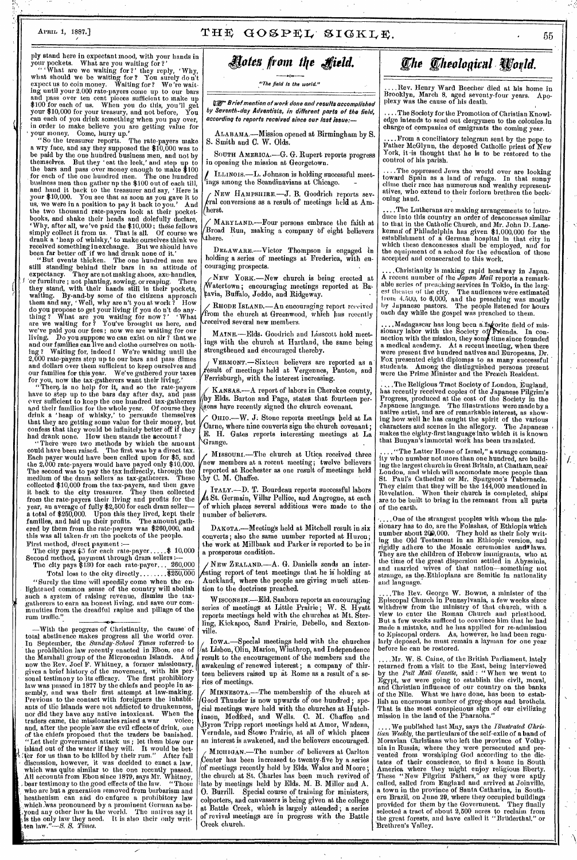## $A$ PRIL 1, 1887.]  $THE GOSPEL SIGKLE.$

ply stand here in expectant mood, with your hands in your pockets. What are you waiting for ?' " What are we waiting for ?' they reply, 'Why, what should we be waiting for? You surely don't expect us to coin money. Waiting for ? We're wait-<br>ing until your 2,000 rate-payers come up to our bars and pass over ten cent pieces sufficient to make up \$100 for each of us. When you do this, you'll get your \$10,000 for your treasury, and not before, You can each of you drink something when you pay over, in order to make believe you are getting value for ' your money. Come, hurry up.'

"So the treasurer reports. The rate-payers make a wry face, and say they supposed the \$10,000 was to be paid by the one hundred business men, and not by themselves. But they ' eat the leek,' and step up to the bars and pass over money enough to make \$100 for each of the one hundred men. The one hundred business men then gather up the \$100 out of each till, business men then gather up the \$100 out of each till,<br>and hand it back to the treasurer and say, 'Here is<br>your \$10,000. You see that as soon as von gave it to your \$10,000. You see that as soon as you gave it to us, we were in a position to pay it back to you.' And the two thousand rate-payers look at their pocketbooks, and shake their heads and dolefully declare, 'Why, after all, we've paid the \$10,000 ; these fellows simply collect it from us. That is all. Of course we drank a 'heap of whisky,' to make ourselves think we received something inexchange. But we should have<br>been far better off if we had drank none of it.'

"But events thicken. The one hundred men are still standing behind their bars in an attitude of expectancy. They are not making shoes, axe-handles, I 'or furniture ; not planting, sowing, or reaping. There they stand, with their hands still in their pockets, waiting. By-and-by some of the citizens approach them and say, ' Well, why are n't you at work ?' How do you propose to get your living if you do n't do any-thing ? What are you waiting for now ?" What are we waiting for ? You've brought us here, and we've paid you our fees ; now we are waiting for our living. Do you suppose we can exist on air ? that we and our families can live and clothe ourselves on noth-ing? Waiting for, indeed I We're waiting until the 2,000 rate-payers step up to our bars and pass dimes and dollars over them sufficient to keep ourselves and our families for this year. We've gathered your taxes

for you, now the tax-gatherers want their living.'<br>"There, is no help for it, and so the rate-payers" have to step up to the bars day after day, and pass over sufficient to keep the one hundred tax-gatherers and their families for the whole year. Of course they drink a 'heap of whisky,' to persuade themselves that they are getting some value for their money, but confess that they would be infinitely better off if they had drank none. How then stands the account?

"There were two methods by which the amount could have been raised. The first was by a direct tax. Each payer would have been called upon for \$5, and the 2,000 rate-payers would have payed only \$10,000. The second was to pay the tax indirectly, through the medium of the dram sellers as tax-gatherers. These collected \$10,000 from the tax-payers, and then gave it back to the city treasurer. They then collected from the rate-payers their living and profits for the year, an average of fully \$2,500 for each dram seller a total of \$250,000. Upon this they lived, kept their families, and laid up their profits. The amount gathered by them from the rate-payers was \$260,000, and families, and laid up their profits. The amount gathered by them from the rate-payers was \$260,000, and this was all taken-fr nn the pockets of the people.

First method, direct payment :—-<br>The city pays \$5 for each rate-payer.....\$ 10,000 Second method, payment through dram sellers :—

The city pays  $$130$  for each rate-payer... 260,000 Total loss to the city directly........ $\sqrt{$250,000}$ 

"Surely the time will speedily come when the enlightened cominon sense of the country will abolish such a system of raising revenue, dismiss the taxgatherers to earn an honest living, and save our communities from the dreadful rapine and pillage of the rum traffic."

**4 1.•**  —With the progress of Christianity, the cause' of total abstinence makes progress all the world over. In September, the *Sunday-School Times* referred- to the prohibition law recently enacted in Ebon, one of the Marshall group of the Micronesian Islands. And now the Rev. Joel F. Whitney, a former missionary, gives a brief history of the movement, with his personal testimony to its efficacy. The first prohibitory law was passed in 1877 by the chiefs and people in as-sembly, and was their first attempt at law-making. Previous to the contact with foreigners the inhabitants of the islands were not addicted to drunkenness, not did they have any native intoxicant. When the traders came, the missionaries raised a war voice; , and, after the people'saw the evil effects of drink, one of the chiefs proposed that the traders be banished. , "Let their government attack us ; let them blow our island out of the water if they will. It would be bet- : Yer for us than to be killed by their rum." After full - discussion, however, it was decided to enact a law, which was quite similar to the one recently passed. All accounts from Ebon since 1879, says Mr. Whitney, , bear testimony to the good effects of the law. "Those who are but a generation removed from barbarism and heathenism can and do enforce a prohibitory law which was pronounced by a prominent German as be-<br>yond any other law in the world. The natives say it, is the only law they need. It is also their only writ-',ten law."--S. S. *Times.* 

*t .,* 

# *Nola from Me field.*

"The field Is the world."

igr Brief mention of work done and results accomplished by Seventh-day Adventists, in different parts of the field, according to reports received since our last issue:

ALABAMA.—Mission opened at Birmingham by S. S. Smith and C. W. Olds,

SOUTH AMERICA.—G. G. Rupert reports progress in opening the mission at Georgetown.

/ ILLINOIS.—L. Johnson is holding successful meet-ings among the Scandinavians at Chicago. -

ih herst.. NEW HAMPSHIRE.—J. B. Goodrich reports sev- $_{\rm real}^{\rm 2}$  conversions as a result of meetings held at Am-

MARYLAND.—Four persons embrace the faith at Broad Run, making a company of eight believers<br>there.

DELAWARE.—Victor Thompson is engaged In holding a series of meetings at Frederica, with encouraging prospects.

NEW YORK .- New church is being erected at WHEW YORK.—NEW Church is being erected at Ba-<br>
watertown; encouraging meetings reported at Ba-<br>
tavia, Buffalo, Jeddo, and Ridgeway. o, Jeddo, and Ridgeway. atertown •

RHODE ISLAND,—An encouraging report received from the church at Greenwood, which has recently received several new members.

MAINE.—Elds. Goodrich and Liuscott hold meetings with the church at Hartland, the same being strengthened and encouraged thereby.

VERMONT.—Sixteen believers are reported as a esult of meetings held at Vergennes, Panton, and Ferrisburgh, with the interest increasing.

KANSAS.--A report of labors in Cherokee county, y Elds. Barton and Page, states that fourteen persons have recently signed the church covenant.

OHIO.—W. J: Stone reports meetings held at La Carne, where nine converts sign the church covenant; E. H. Gates reports interesting meetings at La range.

MISSOURL—The church at Utica received three new members at a recent meeting; twelve' believers ' reported at Rochester as one result of meetings held 'by C. M. Chaffee.

ITALY.—D. T. Bourdeau reports successful labors t St. Germain, Villar Pellice, and Angrogne, at each of which places several additions were made to the number of believers.

DAKOTA.--Meetings held at Mitchell result in six converts; also the same number reported at Huron; the work at Millbank and Parker is reported to be in a prosperous condition.

NEW ZEALAND.—A. G. Daniells sends an inter- .sting report of tent meetings that he is holding at Auckland, where the people are giving much attention to the doctrines preached.

WISCONSIN.—Eld. Sanborn reports an encouraging series of meetings at Little Prairie; W. S. Hyatt reports meetings held with the churches at Mt. Sterling, Kickapoo, Sand Prairie, Debello, and Sextonville.

/ IOWA.—Special meetings held with the churches /at Lisbon, Olin, Marion, Winthrop, and Independence result to the encouragement of the members and the awakening of renewed interest ; a company of thirteen believers raised up at Rome as a result of a series of meetings.

MINNESOTA.—The membership of the church at Good Thunder is now upwards of one hundred ; special meetings were held with the churches at Hutchinson, Medford, and Wells. C. M. Chaffee and Byron Tripp report meetings held at Amor, Wadena, Verndale, and Stowe Prairie, at all of which places an interest is awakened, and the believers encouraged.

MICHIGAN.—The number .of believers at Carlton enter has been increased to twenty-five by a series of meetings recently held by Elds: Wales and Moore; the church at St. Charles has been much revived of late by meetings held by Elds. M. B. Miller and A. 0. Burrill. Special course of training for ministers; colporters, and canvassers is being given at the college at Battle Creek, which is largely attended ; a series of revival meetings are in progress with the Battle Creek church.

# *<i>Che Cheological World.*

....Rev. Henry Ward Beecher died at his home in Brooklyn, March 8, aged seventy-four years. Apo-plexy was the cause of his death.

. The Society for the Promotion of Christian Knowledge intends to send out clergymen to the colonies in charge of companies of emigrants the coming year.

....From a conciliatory telegram sent by the pope to Father McGlynn, the deposed Catholic priest of New York, it-is thought that he is to be restored to the control of his parish.

....The oppressed Jews the world over are looking toward Spain as a land of refuge. In that sunny clime their race has numerous and wealthy representatives, who extend to their forlorn brethren the beck= oning hand.

..The Lutherans are making arrangements to introduce into this country an order of deaconesses similar to that in the Catholic Church, and Mr. John D-Lanekemad of Philadelphia has given \$1,000,000 for the establishment of a German hospital in that city in which these deaconesses shall be 'employed, and for the equipment of a school for the education of those accepted and consecrated to this work.

....Christianity is making rapid headway in Japan. A recent number of the *Japan Mail* reports a remark-<br>able series of preaching services in Tokio, in the largest theater of the city. The audiences were estimated Irom 4,500, to 6,000, and the preaching was mostly by Japanese pastors. The people listened for hours each day while the gospel was preached to them.

....Madagascar has long been a fagorite field of mis-<br>sionary labor with the Society of Friends. In connection with the mission, they some time since founded<br>a medical academy. At a recent meeting, when there were present five hundred natives and Europeans, Dr. Fox presented eight diplomas to as many successful students. Among the distinguished persons present were the Prime Minister and the French Resident.

. The Religious Tract Society of London, Eugland, has recently received copies of the Japanese Pilgrim's Progress, produced at the cost of the Society in the Japanese language. The illustrations were made by a native artist, and are of remarkable interest, as showing how well he has caught the spirit of the various characters and scenes in the allegory. The Japanese , makes the eighty-first language into which it is known that Bunyan's immortal work has been translated.

"The Latter House of Israel," a strange community who number not more than one hundred, are building the largest church in Great Britain, at Chatham, neat London, and which will accomodate more people than St. Paul's Cathedral or Mr. Spurgeon's Tabernacle. They claim that they will be the 144,000 mentioned in Revelation. When their church is completed, ships are to be built to bring in the remnant from all parts of the earth.

,....One of the strangest peoples with whom the missionary has to do, are the Folashas, of Ethiopia which number about 2(19,000. They hold as their holy writ-ing the Old Testament in an Ethiopic version, and rigidly adhere to the Mosaic ceremonies and laws. They are the children of Hebrew immigrants, who at the time of the great dispersion settled in Abyssinia, and married wives of that nation—something not strange, as the-Ethiopians are Semitic in nationality and language.

,The Rev. George W. Bowne, a minister of the Episcopal Church in Pennsylvania, a few weeks since withdrew from the ministry of that church, with a view to enter the Roman Church and priesthood. But a few weeks sufficed to convince him that he had made a mistake, and he has applied for re-admission to Episcopal orders. As, however, he had been regularly deposed, he must remain a layman for one year before he can be restored.

....Mr. W. S. Caine, of the British Parliament, lately returned from a visit to the East, being interviewed by the *Pall Mall Gazette,* said : " When we went to Egypt, we were going to establish the civil, moral, and Christian influence of our country on the banks of the Nile. What we have done, has been to establish an enormous number of grog-shops and brothels. That is the most conspicuous sign of our civilizing mission in the land of the Pharaohs."

..We published last May, says the *illustrated Chris-* $\it{tian \; Weekly},$  the particulars of the self-exile of a band of Moravian Christians who left the province of Volhynia in Russia; where they were persecuted and prevented from worshiping God according to the dictates of their conscience, to find a home in South America where they might enjoy religious liberty. These "New Pilgrim Fathers," as they were aptly called, sailed from England and arrived at Joinville, a town in the province of Santa Catharine, in Southern Brazil, on June 29, where they occupied buildings provided for them by the Government. They finally selected a tract of about 2,500 acres to reclaim from the great forests, and have called it "Bruderthal," or Brethren's Valley.